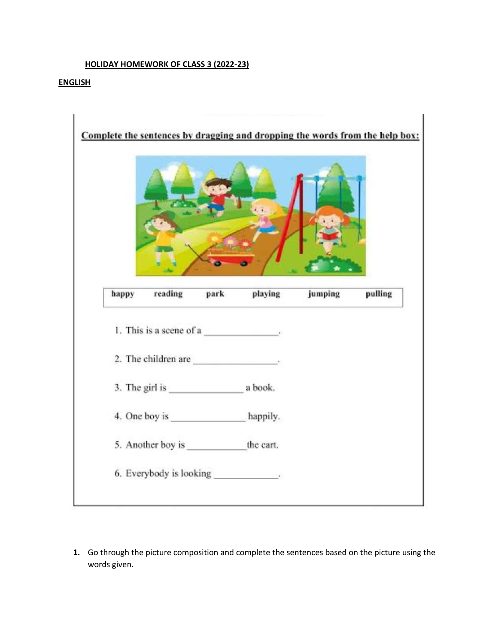#### **HOLIDAY HOMEWORK OF CLASS 3 (2022-23)**

#### **ENGLISH**



**1.** Go through the picture composition and complete the sentences based on the picture using the words given.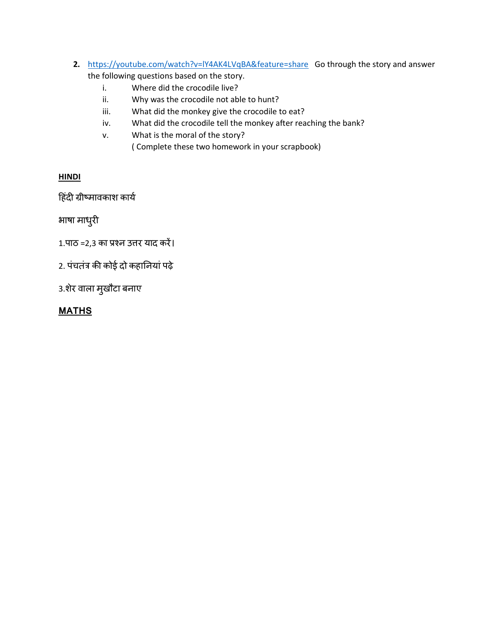- **2.** <https://youtube.com/watch?v=lY4AK4LVqBA&feature=share> Go through the story and answer the following questions based on the story.
	- i. Where did the crocodile live?
	- ii. Why was the crocodile not able to hunt?
	- iii. What did the monkey give the crocodile to eat?
	- iv. What did the crocodile tell the monkey after reaching the bank?
	- v. What is the moral of the story?
		- ( Complete these two homework in your scrapbook)

# **HINDI**

हिंदी ग्रीष्मावकाश कार्य

भाषा माधुरी

1.पाठ =2,3 का प्रश्न उत्तर याद करें।

2. पंचतंत्र की कोई दो कहानियां पढ़े

3.श़ेर वाला मुखौटा बनाए

# **MATHS**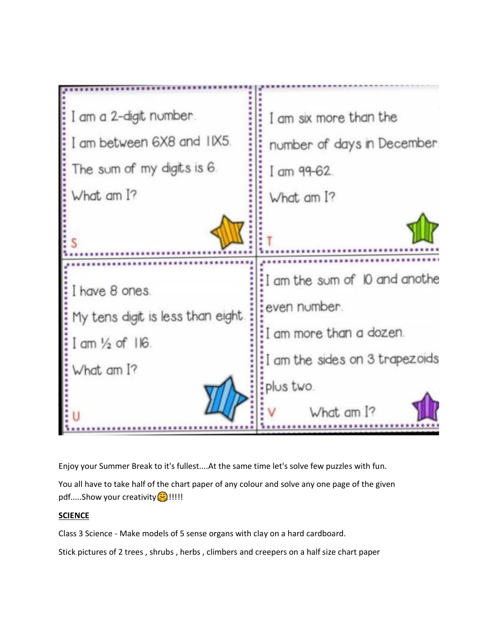| I am a 2-digit number.<br>I am between 6X8 and IIX5.<br>The sum of my digits is 6.<br>What am I? | I am six more than the<br>number of days in December.<br>I am $99-62$ .<br>What am I? |
|--------------------------------------------------------------------------------------------------|---------------------------------------------------------------------------------------|
|                                                                                                  |                                                                                       |
| I have 8 ones.                                                                                   | I am the sum of 10 and anothe<br>even number.                                         |
| My tens digit is less than eight.<br>$1$ am $\frac{1}{2}$ of $116$ .                             | I am more than a dozen.<br>I am the sides on 3 trapezoids                             |
| What am I?                                                                                       | plus two.<br>$Mnt$ am $12$                                                            |

Enjoy your Summer Break to it's fullest....At the same time let's solve few puzzles with fun.

You all have to take half of the chart paper of any colour and solve any one page of the given pdf.....Show your creativity<sup>(2)</sup>!!!!!

### **SCIENCE**

Class 3 Science - Make models of 5 sense organs with clay on a hard cardboard.

Stick pictures of 2 trees , shrubs , herbs , climbers and creepers on a half size chart paper